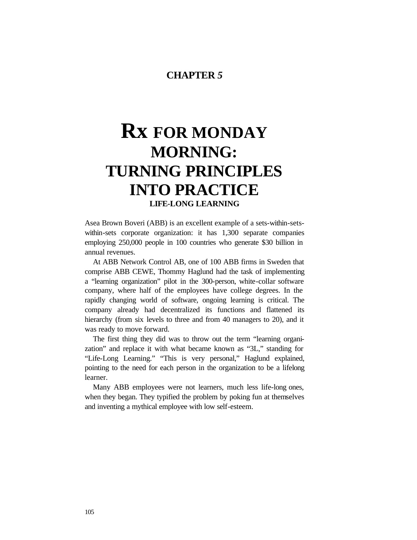# **CHAPTER** *5*

# **Rx FOR MONDAY MORNING: TURNING PRINCIPLES INTO PRACTICE LIFE-LONG LEARNING**

Asea Brown Boveri (ABB) is an excellent example of a sets-within-setswithin-sets corporate organization: it has 1,300 separate companies employing 250,000 people in 100 countries who generate \$30 billion in annual revenues.

At ABB Network Control AB, one of 100 ABB firms in Sweden that comprise ABB CEWE, Thommy Haglund had the task of implementing a "learning organization" pilot in the 300-person, white-collar software company, where half of the employees have college degrees. In the rapidly changing world of software, ongoing learning is critical. The company already had decentralized its functions and flattened its hierarchy (from six levels to three and from 40 managers to 20), and it was ready to move forward.

The first thing they did was to throw out the term "learning organization" and replace it with what became known as "3L," standing for "Life-Long Learning." "This is very personal," Haglund explained, pointing to the need for each person in the organization to be a lifelong learner.

Many ABB employees were not learners, much less life-long ones, when they began. They typified the problem by poking fun at themselves and inventing a mythical employee with low self-esteem.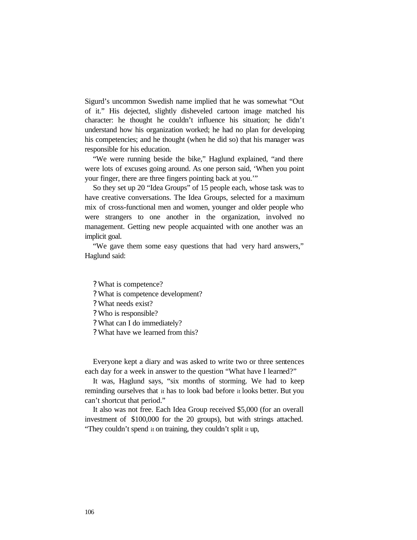Sigurd's uncommon Swedish name implied that he was somewhat "Out of it." His dejected, slightly disheveled cartoon image matched his character: he thought he couldn't influence his situation; he didn't understand how his organization worked; he had no plan for developing his competencies; and he thought (when he did so) that his manager was responsible for his education.

"We were running beside the bike," Haglund explained, "and there were lots of excuses going around. As one person said, 'When you point your finger, there are three fingers pointing back at you.'"

So they set up 20 "Idea Groups" of 15 people each, whose task was to have creative conversations. The Idea Groups, selected for a maximum mix of cross-functional men and women, younger and older people who were strangers to one another in the organization, involved no management. Getting new people acquainted with one another was an implicit goal.

"We gave them some easy questions that had very hard answers," Haglund said:

? What is competence?

- ? What is competence development?
- ? What needs exist?
- ? Who is responsible?
- ? What can I do immediately?
- ? What have we learned from this?

Everyone kept a diary and was asked to write two or three sentences each day for a week in answer to the question "What have I learned?"

It was, Haglund says, "six months of storming. We had to keep reminding ourselves that it has to look bad before it looks better. But you can't shortcut that period."

It also was not free. Each Idea Group received \$5,000 (for an overall investment of \$100,000 for the 20 groups), but with strings attached. "They couldn't spend it on training, they couldn't split it up,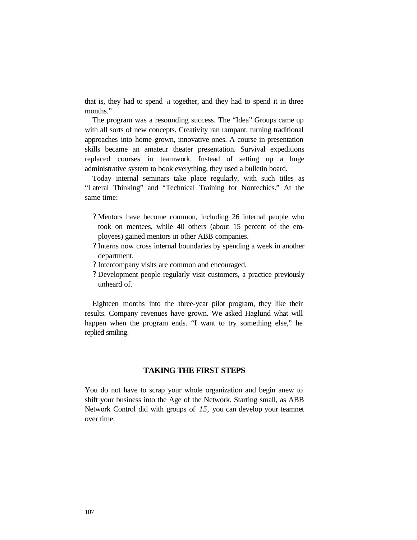that is, they had to spend it together, and they had to spend it in three months."

The program was a resounding success. The "Idea" Groups came up with all sorts of new concepts. Creativity ran rampant, turning traditional approaches into home-grown, innovative ones. A course in presentation skills became an amateur theater presentation. Survival expeditions replaced courses in teamwork. Instead of setting up a huge administrative system to book everything, they used a bulletin board.

Today internal seminars take place regularly, with such titles as "Lateral Thinking" and "Technical Training for Nontechies." At the same time:

- ? Mentors have become common, including 26 internal people who took on mentees, while 40 others (about 15 percent of the employees) gained mentors in other ABB companies.
- ? Interns now cross internal boundaries by spending a week in another department.
- ? Intercompany visits are common and encouraged.
- ? Development people regularly visit customers, a practice previously unheard of.

Eighteen months into the three-year pilot program, they like their results. Company revenues have grown. We asked Haglund what will happen when the program ends. "I want to try something else," he replied smiling.

# **TAKING THE FIRST STEPS**

You do not have to scrap your whole organization and begin anew to shift your business into the Age of the Network. Starting small, as ABB Network Control did with groups of *15,* you can develop your teamnet over time.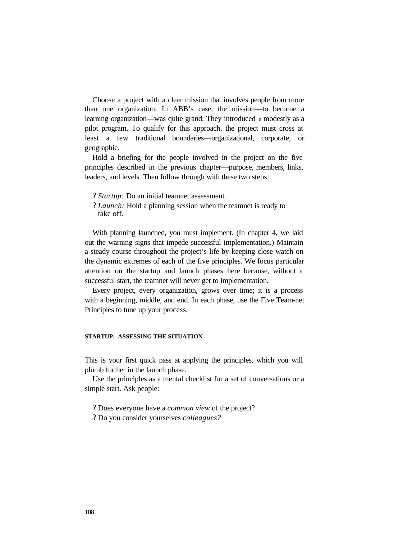Choose a project with a clear mission that involves people from more than one organization. In ABB's case, the mission—to become a learning organization—was quite grand. They introduced it modestly as a pilot program. To qualify for this approach, the project must cross at least a few traditional boundaries—organizational, corporate, or geographic.

Hold a briefing for the people involved in the project on the five principles described in the previous chapter—purpose, members, links, leaders, and levels. Then follow through with these two steps:

*? Startup:* Do an initial teamnet assessment.

*? Launch:* Hold a planning session when the teamnet is ready to take off.

With planning launched, you must implement. (In chapter 4, we laid out the warning signs that impede successful implementation.) Maintain a steady course throughout the project's life by keeping close watch on the dynamic extremes of each of the five principles. We focus particular attention on the startup and launch phases here because, without a successful start, the teamnet will never get to implementation.

Every project, every organization, grows over time; it is a process with a beginning, middle, and end. In each phase, use the Five Team-net Principles to tune up your process.

#### **STARTUP: ASSESSING THE SITUATION**

This is your first quick pass at applying the principles, which you will plumb further in the launch phase.

Use the principles as a mental checklist for a set of conversations or a simple start. Ask people:

? Does everyone have a *common view* of the project?

? Do you consider yourselves *colleagues?*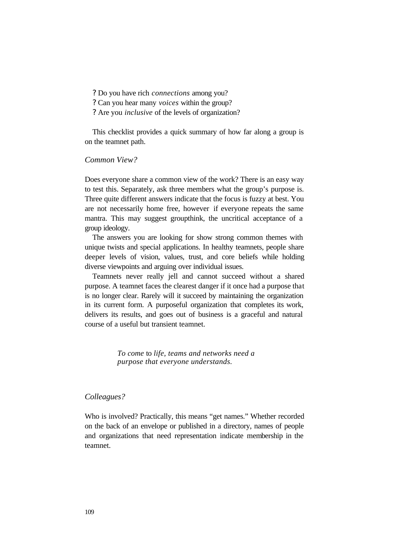? Do you have rich *connections* among you?

? Can you hear many *voices* within the group?

? Are you *inclusive* of the levels of organization?

This checklist provides a quick summary of how far along a group is on the teamnet path.

*Common View?*

Does everyone share a common view of the work? There is an easy way to test this. Separately, ask three members what the group's purpose is. Three quite different answers indicate that the focus is fuzzy at best. You are not necessarily home free, however if everyone repeats the same mantra. This may suggest groupthink, the uncritical acceptance of a group ideology.

The answers you are looking for show strong common themes with unique twists and special applications. In healthy teamnets, people share deeper levels of vision, values, trust, and core beliefs while holding diverse viewpoints and arguing over individual issues.

Teamnets never really jell and cannot succeed without a shared purpose. A teamnet faces the clearest danger if it once had a purpose that is no longer clear. Rarely will it succeed by maintaining the organization in its current form. A purposeful organization that completes its work, delivers its results, and goes out of business is a graceful and natural course of a useful but transient teamnet.

> *To come* to *life, teams and networks need a purpose that everyone understands.*

#### *Colleagues?*

Who is involved? Practically, this means "get names." Whether recorded on the back of an envelope or published in a directory, names of people and organizations that need representation indicate membership in the teamnet.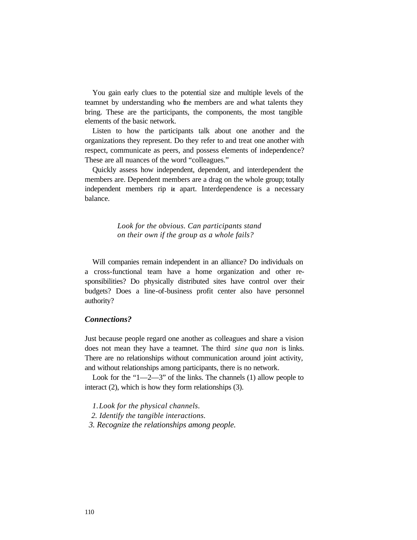You gain early clues to the potential size and multiple levels of the teamnet by understanding who the members are and what talents they bring. These are the participants, the components, the most tangible elements of the basic network.

Listen to how the participants talk about one another and the organizations they represent. Do they refer to and treat one another with respect, communicate as peers, and possess elements of independence? These are all nuances of the word "colleagues."

Quickly assess how independent, dependent, and interdependent the members are. Dependent members are a drag on the whole group; totally independent members rip **it** apart. Interdependence is a necessary balance.

> *Look for the obvious. Can participants stand on their own if the group as a whole fails?*

Will companies remain independent in an alliance? Do individuals on a cross-functional team have a home organization and other responsibilities? Do physically distributed sites have control over their budgets? Does a line-of-business profit center also have personnel authority?

# *Connections?*

Just because people regard one another as colleagues and share a vision does not mean they have a teamnet. The third *sine qua non* is links. There are no relationships without communication around joint activity, and without relationships among participants, there is no network.

Look for the " $1-2-3$ " of the links. The channels (1) allow people to interact (2), which is how they form relationships (3).

*1.Look for the physical channels.*

*2. Identify the tangible interactions.*

 *3. Recognize the relationships among people.*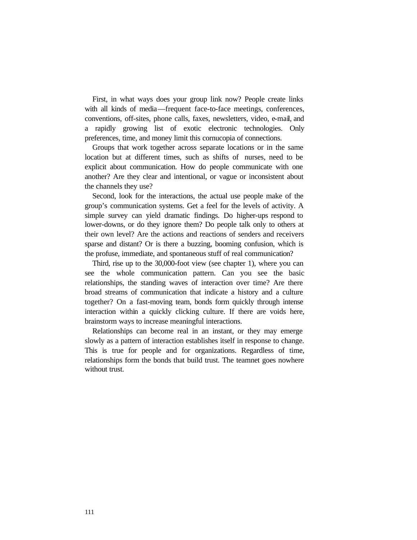First, in what ways does your group link now? People create links with all kinds of media—frequent face-to-face meetings, conferences, conventions, off-sites, phone calls, faxes, newsletters, video, e-mail, and a rapidly growing list of exotic electronic technologies. Only preferences, time, and money limit this cornucopia of connections.

Groups that work together across separate locations or in the same location but at different times, such as shifts of nurses, need to be explicit about communication. How do people communicate with one another? Are they clear and intentional, or vague or inconsistent about the channels they use?

Second, look for the interactions, the actual use people make of the group's communication systems. Get a feel for the levels of activity. A simple survey can yield dramatic findings. Do higher-ups respond to lower-downs, or do they ignore them? Do people talk only to others at their own level? Are the actions and reactions of senders and receivers sparse and distant? Or is there a buzzing, booming confusion, which is the profuse, immediate, and spontaneous stuff of real communication?

Third, rise up to the 30,000-foot view (see chapter 1), where you can see the whole communication pattern. Can you see the basic relationships, the standing waves of interaction over time? Are there broad streams of communication that indicate a history and a culture together? On a fast-moving team, bonds form quickly through intense interaction within a quickly clicking culture. If there are voids here, brainstorm ways to increase meaningful interactions.

Relationships can become real in an instant, or they may emerge slowly as a pattern of interaction establishes itself in response to change. This is true for people and for organizations. Regardless of time, relationships form the bonds that build trust. The teamnet goes nowhere without trust.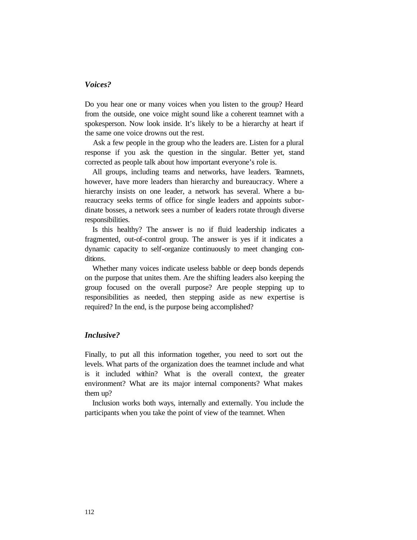## *Voices?*

Do you hear one or many voices when you listen to the group? Heard from the outside, one voice might sound like a coherent teamnet with a spokesperson. Now look inside. It's likely to be a hierarchy at heart if the same one voice drowns out the rest.

Ask a few people in the group who the leaders are. Listen for a plural response if you ask the question in the singular. Better yet, stand corrected as people talk about how important everyone's role is.

All groups, including teams and networks, have leaders. Teamnets, however, have more leaders than hierarchy and bureaucracy. Where a hierarchy insists on one leader, a network has several. Where a bureaucracy seeks terms of office for single leaders and appoints subordinate bosses, a network sees a number of leaders rotate through diverse responsibilities.

Is this healthy? The answer is no if fluid leadership indicates a fragmented, out-of-control group. The answer is yes if it indicates a dynamic capacity to self-organize continuously to meet changing conditions.

Whether many voices indicate useless babble or deep bonds depends on the purpose that unites them. Are the shifting leaders also keeping the group focused on the overall purpose? Are people stepping up to responsibilities as needed, then stepping aside as new expertise is required? In the end, is the purpose being accomplished?

## *Inclusive?*

Finally, to put all this information together, you need to sort out the levels. What parts of the organization does the teamnet include and what is it included within? What is the overall context, the greater environment? What are its major internal components? What makes them up?

Inclusion works both ways, internally and externally. You include the participants when you take the point of view of the teamnet. When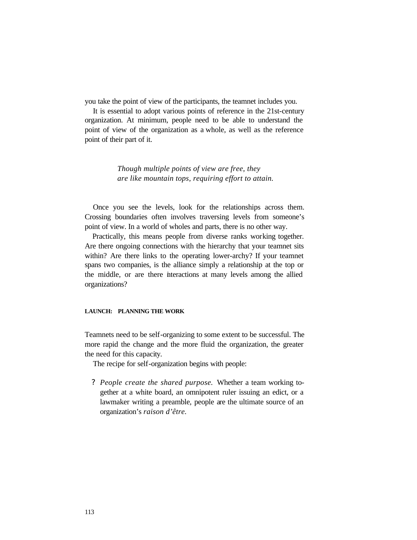you take the point of view of the participants, the teamnet includes you.

It is essential to adopt various points of reference in the 21st-century organization. At minimum, people need to be able to understand the point of view of the organization as a whole, as well as the reference point of their part of it.

> *Though multiple points of view are free, they are like mountain tops, requiring effort to attain.*

Once you see the levels, look for the relationships across them. Crossing boundaries often involves traversing levels from someone's point of view. In a world of wholes and parts, there is no other way.

Practically, this means people from diverse ranks working together. Are there ongoing connections with the hierarchy that your teamnet sits within? Are there links to the operating lower-archy? If your teamnet spans two companies, is the alliance simply a relationship at the top or the middle, or are there interactions at many levels among the allied organizations?

#### **LAUNCH: PLANNING THE WORK**

Teamnets need to be self-organizing to some extent to be successful. The more rapid the change and the more fluid the organization, the greater the need for this capacity.

The recipe for self-organization begins with people:

*? People create the shared purpose.* Whether a team working together at a white board, an omnipotent ruler issuing an edict, or a lawmaker writing a preamble, people are the ultimate source of an organization's *raison d'être.*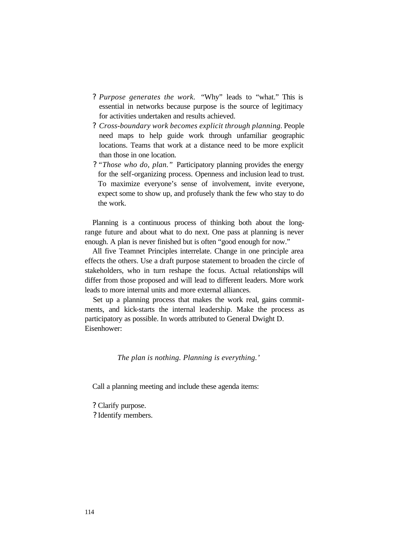- *? Purpose generates the work.* "Why" leads to "what." This is essential in networks because purpose is the source of legitimacy for activities undertaken and results achieved.
- *? Cross-boundary work becomes explicit through planning.* People need maps to help guide work through unfamiliar geographic locations. Teams that work at a distance need to be more explicit than those in one location.
- *? "Those who do, plan."* Participatory planning provides the energy for the self-organizing process. Openness and inclusion lead to trust. To maximize everyone's sense of involvement, invite everyone, expect some to show up, and profusely thank the few who stay to do the work.

Planning is a continuous process of thinking both about the longrange future and about what to do next. One pass at planning is never enough. A plan is never finished but is often "good enough for now."

All five Teamnet Principles interrelate. Change in one principle area effects the others. Use a draft purpose statement to broaden the circle of stakeholders, who in turn reshape the focus. Actual relationships will differ from those proposed and will lead to different leaders. More work leads to more internal units and more external alliances.

Set up a planning process that makes the work real, gains commitments, and kick-starts the internal leadership. Make the process as participatory as possible. In words attributed to General Dwight D. Eisenhower:

*The plan is nothing. Planning is everything.'*

Call a planning meeting and include these agenda items:

- ? Clarify purpose.
- ? Identify members.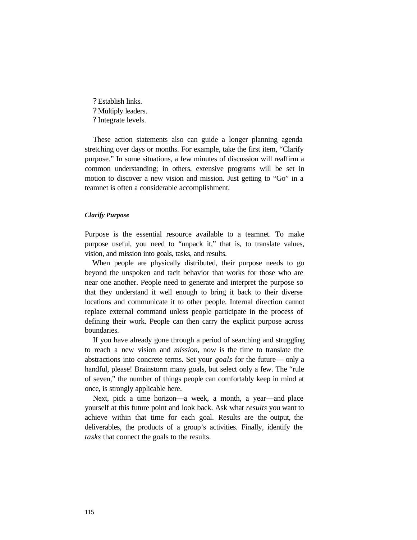? Establish links. ? Multiply leaders. ? Integrate levels.

These action statements also can guide a longer planning agenda stretching over days or months. For example, take the first item, "Clarify purpose." In some situations, a few minutes of discussion will reaffirm a common understanding; in others, extensive programs will be set in motion to discover a new vision and mission. Just getting to "Go" in a teamnet is often a considerable accomplishment.

#### *Clarify Purpose*

Purpose is the essential resource available to a teamnet. To make purpose useful, you need to "unpack it," that is, to translate values, vision, and mission into goals, tasks, and results.

When people are physically distributed, their purpose needs to go beyond the unspoken and tacit behavior that works for those who are near one another. People need to generate and interpret the purpose so that they understand it well enough to bring it back to their diverse locations and communicate it to other people. Internal direction cannot replace external command unless people participate in the process of defining their work. People can then carry the explicit purpose across boundaries.

If you have already gone through a period of searching and struggling to reach a new vision and *mission,* now is the time to translate the abstractions into concrete terms. Set your *goals* for the future— only a handful, please! Brainstorm many goals, but select only a few. The "rule of seven," the number of things people can comfortably keep in mind at once, is strongly applicable here.

Next, pick a time horizon—a week, a month, a year—and place yourself at this future point and look back. Ask what *results* you want to achieve within that time for each goal. Results are the output, the deliverables, the products of a group's activities. Finally, identify the *tasks* that connect the goals to the results.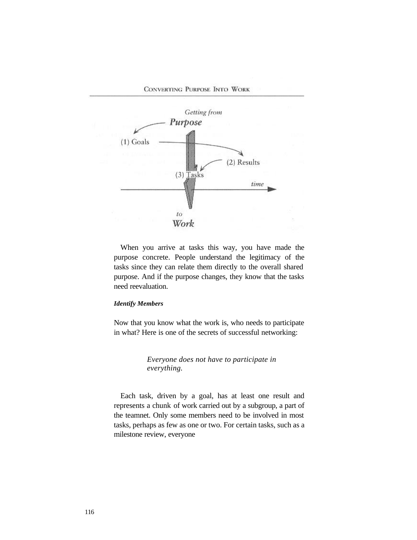



When you arrive at tasks this way, you have made the purpose concrete. People understand the legitimacy of the tasks since they can relate them directly to the overall shared purpose. And if the purpose changes, they know that the tasks need reevaluation.

#### *Identify Members*

Now that you know what the work is, who needs to participate in what? Here is one of the secrets of successful networking:

> *Everyone does not have to participate in everything.*

Each task, driven by a goal, has at least one result and represents a chunk of work carried out by a subgroup, a part of the teamnet. Only some members need to be involved in most tasks, perhaps as few as one or two. For certain tasks, such as a milestone review, everyone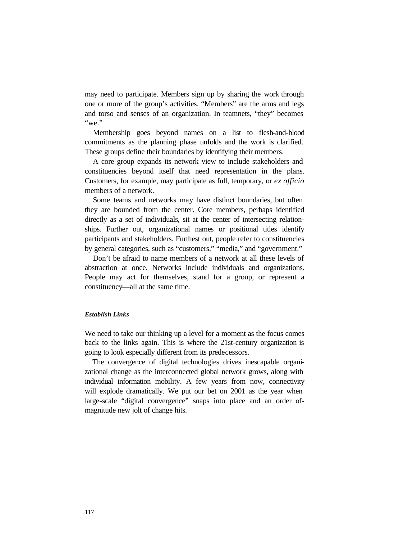may need to participate. Members sign up by sharing the work through one or more of the group's activities. "Members" are the arms and legs and torso and senses of an organization. In teamnets, "they" becomes "we."

Membership goes beyond names on a list to flesh-and-blood commitments as the planning phase unfolds and the work is clarified. These groups define their boundaries by identifying their members.

A core group expands its network view to include stakeholders and constituencies beyond itself that need representation in the plans. Customers, for example, may participate as full, temporary, or *ex officio*  members of a network.

Some teams and networks may have distinct boundaries, but often they are bounded from the center. Core members, perhaps identified directly as a set of individuals, sit at the center of intersecting relationships. Further out, organizational names or positional titles identify participants and stakeholders. Furthest out, people refer to constituencies by general categories, such as "customers," "media," and "government."

Don't be afraid to name members of a network at all these levels of abstraction at once. Networks include individuals and organizations. People may act for themselves, stand for a group, or represent a constituency—all at the same time.

#### *Establish Links*

We need to take our thinking up a level for a moment as the focus comes back to the links again. This is where the 21st-century organization is going to look especially different from its predecessors.

The convergence of digital technologies drives inescapable organizational change as the interconnected global network grows, along with individual information mobility. A few years from now, connectivity will explode dramatically. We put our bet on 2001 as the year when large-scale "digital convergence" snaps into place and an order ofmagnitude new jolt of change hits.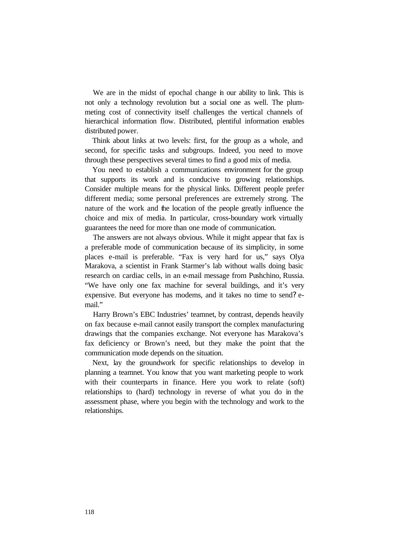We are in the midst of epochal change in our ability to link. This is not only a technology revolution but a social one as well. The plummeting cost of connectivity itself challenges the vertical channels of hierarchical information flow. Distributed, plentiful information enables distributed power.

Think about links at two levels: first, for the group as a whole, and second, for specific tasks and subgroups. Indeed, you need to move through these perspectives several times to find a good mix of media.

You need to establish a communications environment for the group that supports its work and is conducive to growing relationships. Consider multiple means for the physical links. Different people prefer different media; some personal preferences are extremely strong. The nature of the work and the location of the people greatly influence the choice and mix of media. In particular, cross-boundary work virtually guarantees the need for more than one mode of communication.

The answers are not always obvious. While it might appear that fax is a preferable mode of communication because of its simplicity, in some places e-mail is preferable. "Fax is very hard for us," says Olya Marakova, a scientist in Frank Starmer's lab without walls doing basic research on cardiac cells, in an e-mail message from Pushchino, Russia. "We have only one fax machine for several buildings, and it's very expensive. But everyone has modems, and it takes no time to send? email."

Harry Brown's EBC Industries' teamnet, by contrast, depends heavily on fax because e-mail cannot easily transport the complex manufacturing drawings that the companies exchange. Not everyone has Marakova's fax deficiency or Brown's need, but they make the point that the communication mode depends on the situation.

Next, lay the groundwork for specific relationships to develop in planning a teamnet. You know that you want marketing people to work with their counterparts in finance. Here you work to relate (soft) relationships to (hard) technology in reverse of what you do in the assessment phase, where you begin with the technology and work to the relationships.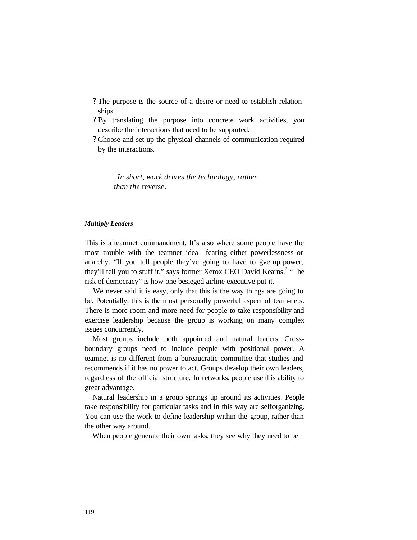- ? The purpose is the source of a desire or need to establish relationships.
- ? By translating the purpose into concrete work activities, you describe the interactions that need to be supported.
- ? Choose and set up the physical channels of communication required by the interactions.

*In short, work drives the technology, rather than the* reverse.

#### *Multiply Leaders*

This is a teamnet commandment. It's also where some people have the most trouble with the teamnet idea—fearing either powerlessness or anarchy. "If you tell people they've going to have to give up power, they'll tell you to stuff it," says former Xerox CEO David Kearns.<sup>2</sup> "The risk of democracy" is how one besieged airline executive put it.

We never said it is easy, only that this is the way things are going to be. Potentially, this is the most personally powerful aspect of team-nets. There is more room and more need for people to take responsibility and exercise leadership because the group is working on many complex issues concurrently.

Most groups include both appointed and natural leaders. Crossboundary groups need to include people with positional power. A teamnet is no different from a bureaucratic committee that studies and recommends if it has no power to act. Groups develop their own leaders, regardless of the official structure. In networks, people use this ability to great advantage.

Natural leadership in a group springs up around its activities. People take responsibility for particular tasks and in this way are selforganizing. You can use the work to define leadership within the group, rather than the other way around.

When people generate their own tasks, they see why they need to be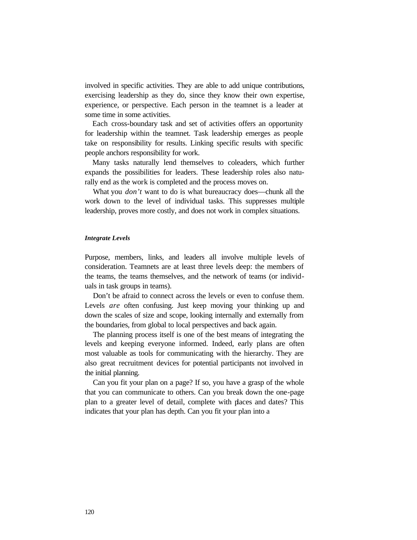involved in specific activities. They are able to add unique contributions, exercising leadership as they do, since they know their own expertise, experience, or perspective. Each person in the teamnet is a leader at some time in some activities.

Each cross-boundary task and set of activities offers an opportunity for leadership within the teamnet. Task leadership emerges as people take on responsibility for results. Linking specific results with specific people anchors responsibility for work.

Many tasks naturally lend themselves to coleaders, which further expands the possibilities for leaders. These leadership roles also naturally end as the work is completed and the process moves on.

What you *don't* want to do is what bureaucracy does—chunk all the work down to the level of individual tasks. This suppresses multiple leadership, proves more costly, and does not work in complex situations.

#### *Integrate Levels*

Purpose, members, links, and leaders all involve multiple levels of consideration. Teamnets are at least three levels deep: the members of the teams, the teams themselves, and the network of teams (or individuals in task groups in teams).

Don't be afraid to connect across the levels or even to confuse them. Levels *are* often confusing. Just keep moving your thinking up and down the scales of size and scope, looking internally and externally from the boundaries, from global to local perspectives and back again.

The planning process itself is one of the best means of integrating the levels and keeping everyone informed. Indeed, early plans are often most valuable as tools for communicating with the hierarchy. They are also great recruitment devices for potential participants not involved in the initial planning.

Can you fit your plan on a page? If so, you have a grasp of the whole that you can communicate to others. Can you break down the one-page plan to a greater level of detail, complete with places and dates? This indicates that your plan has depth. Can you fit your plan into a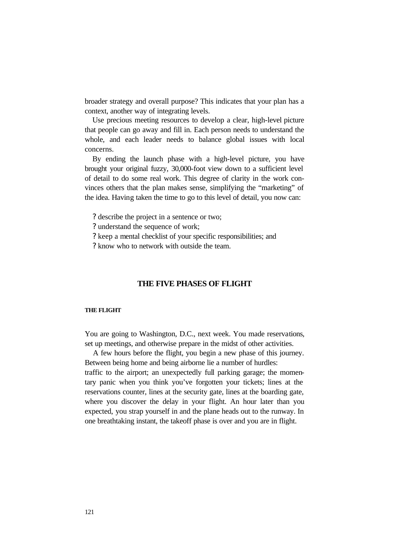broader strategy and overall purpose? This indicates that your plan has a context, another way of integrating levels.

Use precious meeting resources to develop a clear, high-level picture that people can go away and fill in. Each person needs to understand the whole, and each leader needs to balance global issues with local concerns.

By ending the launch phase with a high-level picture, you have brought your original fuzzy, 30,000-foot view down to a sufficient level of detail to do some real work. This degree of clarity in the work convinces others that the plan makes sense, simplifying the "marketing" of the idea. Having taken the time to go to this level of detail, you now can:

? describe the project in a sentence or two;

? understand the sequence of work;

? keep a mental checklist of your specific responsibilities; and

? know who to network with outside the team.

#### **THE FIVE PHASES OF FLIGHT**

#### **THE FLIGHT**

You are going to Washington, D.C., next week. You made reservations, set up meetings, and otherwise prepare in the midst of other activities.

A few hours before the flight, you begin a new phase of this journey. Between being home and being airborne lie a number of hurdles: traffic to the airport; an unexpectedly full parking garage; the momentary panic when you think you've forgotten your tickets; lines at the reservations counter, lines at the security gate, lines at the boarding gate, where you discover the delay in your flight. An hour later than you expected, you strap yourself in and the plane heads out to the runway. In one breathtaking instant, the takeoff phase is over and you are in flight.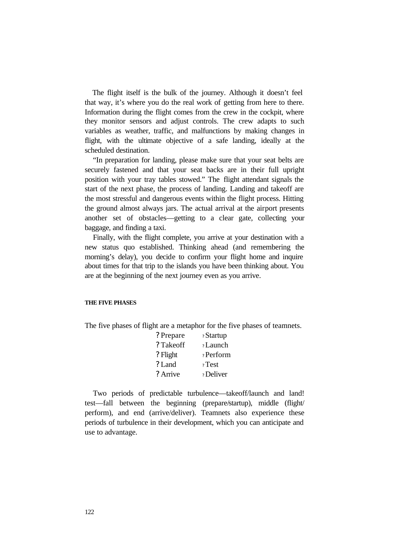The flight itself is the bulk of the journey. Although it doesn't feel that way, it's where you do the real work of getting from here to there. Information during the flight comes from the crew in the cockpit, where they monitor sensors and adjust controls. The crew adapts to such variables as weather, traffic, and malfunctions by making changes in flight, with the ultimate objective of a safe landing, ideally at the scheduled destination.

"In preparation for landing, please make sure that your seat belts are securely fastened and that your seat backs are in their full upright position with your tray tables stowed." The flight attendant signals the start of the next phase, the process of landing. Landing and takeoff are the most stressful and dangerous events within the flight process. Hitting the ground almost always jars. The actual arrival at the airport presents another set of obstacles—getting to a clear gate, collecting your baggage, and finding a taxi.

Finally, with the flight complete, you arrive at your destination with a new status quo established. Thinking ahead (and remembering the morning's delay), you decide to confirm your flight home and inquire about times for that trip to the islands you have been thinking about. You are at the beginning of the next journey even as you arrive.

#### **THE FIVE PHASES**

The five phases of flight are a metaphor for the five phases of teamnets.

| ? Prepare | ? Startup   |
|-----------|-------------|
| ? Takeoff | ? Launch    |
| ? Flight  | ? Perform   |
| ? Land    | $\tau$ Test |
| ? Arrive  | ? Deliver   |

Two periods of predictable turbulence—takeoff/launch and land! test—fall between the beginning (prepare/startup), middle (flight/ perform), and end (arrive/deliver). Teamnets also experience these periods of turbulence in their development, which you can anticipate and use to advantage.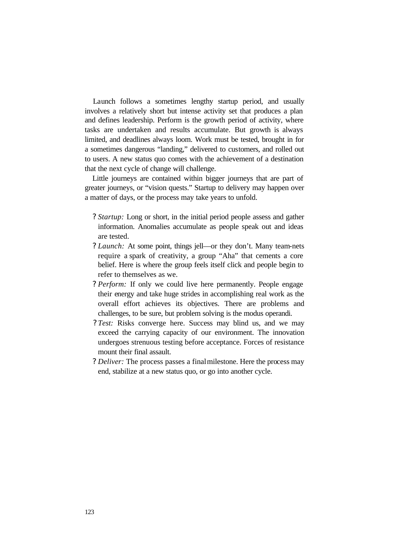Launch follows a sometimes lengthy startup period, and usually involves a relatively short but intense activity set that produces a plan and defines leadership. Perform is the growth period of activity, where tasks are undertaken and results accumulate. But growth is always limited, and deadlines always loom. Work must be tested, brought in for a sometimes dangerous "landing," delivered to customers, and rolled out to users. A new status quo comes with the achievement of a destination that the next cycle of change will challenge.

Little journeys are contained within bigger journeys that are part of greater journeys, or "vision quests." Startup to delivery may happen over a matter of days, or the process may take years to unfold.

- *? Startup:* Long or short, in the initial period people assess and gather information. Anomalies accumulate as people speak out and ideas are tested.
- *? Launch:* At some point, things jell—or they don't. Many team-nets require a spark of creativity, a group "Aha" that cements a core belief. Here is where the group feels itself click and people begin to refer to themselves as we.
- *? Perform:* If only we could live here permanently. People engage their energy and take huge strides in accomplishing real work as the overall effort achieves its objectives. There are problems and challenges, to be sure, but problem solving is the modus operandi.
- *? Test:* Risks converge here. Success may blind us, and we may exceed the carrying capacity of our environment. The innovation undergoes strenuous testing before acceptance. Forces of resistance mount their final assault.
- *? Deliver:* The process passes a final milestone. Here the process may end, stabilize at a new status quo, or go into another cycle.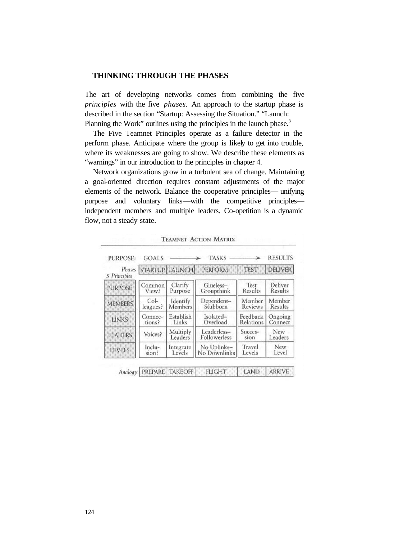# **THINKING THROUGH THE PHASES**

The art of developing networks comes from combining the five *principles* with the five *phases.* An approach to the startup phase is described in the section "Startup: Assessing the Situation." "Launch: Planning the Work" outlines using the principles in the launch phase.<sup>3</sup>

The Five Teamnet Principles operate as a failure detector in the perform phase. Anticipate where the group is likely to get into trouble, where its weaknesses are going to show. We describe these elements as "warnings" in our introduction to the principles in chapter 4.

Network organizations grow in a turbulent sea of change. Maintaining a goal-oriented direction requires constant adjustments of the major elements of the network. Balance the cooperative principles— unifying purpose and voluntary links—with the competitive principles independent members and multiple leaders. Co-opetition is a dynamic flow, not a steady state.

| Phases<br>5 Principles |                    | <b>STARTUP LAUNCH</b> | PERFORM                     | <b>TEST</b>             | <b>DELIVER</b>     |
|------------------------|--------------------|-----------------------|-----------------------------|-------------------------|--------------------|
| <b>PURPOSE</b>         | Common<br>View?    | Clarify<br>Purpose    | Glueless-<br>Groupthink     | Test<br>Results         | Deliver<br>Results |
| <b>MEMBERS</b>         | $Col-$<br>leagues? | Identify<br>Members   | Dependent-<br>Stubborn      | Member<br>Reviews       | Member<br>Results  |
| <b>LINKS</b>           | Connec-<br>tions?  | Establish<br>Links    | Isolated-<br>Overload       | Feedback<br>Relations   | Ongoing<br>Connect |
| <b>LEADERS</b>         | Voices?            | Multiply<br>Leaders   | Leaderless-<br>Followerless | Succes-<br>sion         | New<br>Leaders     |
| <b>LEVELS</b>          | Inclu-<br>sion?    | Integrate<br>Levels   | No Uplinks-<br>No Downlinks | <b>Travel</b><br>Levels | New<br>Level       |

| <b>TEAMNET ACTION MATRIX</b> |  |  |
|------------------------------|--|--|
|------------------------------|--|--|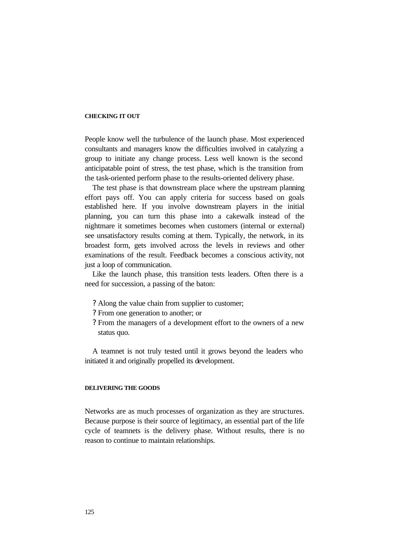#### **CHECKING IT OUT**

People know well the turbulence of the launch phase. Most experienced consultants and managers know the difficulties involved in catalyzing a group to initiate any change process. Less well known is the second anticipatable point of stress, the test phase, which is the transition from the task-oriented perform phase to the results-oriented delivery phase.

The test phase is that downstream place where the upstream planning effort pays off. You can apply criteria for success based on goals established here. If you involve downstream players in the initial planning, you can turn this phase into a cakewalk instead of the nightmare it sometimes becomes when customers (internal or external) see unsatisfactory results coming at them. Typically, the network, in its broadest form, gets involved across the levels in reviews and other examinations of the result. Feedback becomes a conscious activity, not just a loop of communication.

Like the launch phase, this transition tests leaders. Often there is a need for succession, a passing of the baton:

- ? Along the value chain from supplier to customer;
- ? From one generation to another; or
- ? From the managers of a development effort to the owners of a new status quo.

A teamnet is not truly tested until it grows beyond the leaders who initiated it and originally propelled its development.

#### **DELIVERING THE GOODS**

Networks are as much processes of organization as they are structures. Because purpose is their source of legitimacy, an essential part of the life cycle of teamnets is the delivery phase. Without results, there is no reason to continue to maintain relationships.